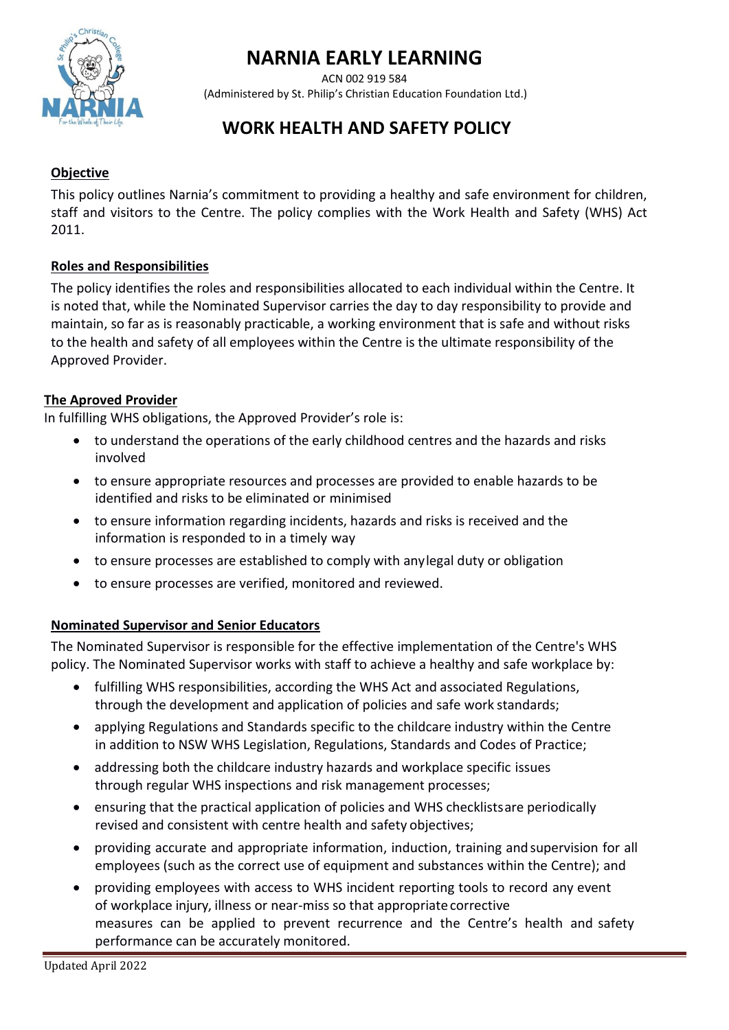

# **NARNIA EARLY LEARNING**

ACN 002 919 584 (Administered by St. Philip's Christian Education Foundation Ltd.)

# **WORK HEALTH AND SAFETY POLICY**

#### **Objective**

This policy outlines Narnia's commitment to providing a healthy and safe environment for children, staff and visitors to the Centre. The policy complies with the Work Health and Safety (WHS) Act 2011.

#### **Roles and Responsibilities**

The policy identifies the roles and responsibilities allocated to each individual within the Centre. It is noted that, while the Nominated Supervisor carries the day to day responsibility to provide and maintain, so far as is reasonably practicable, a working environment that is safe and without risks to the health and safety of all employees within the Centre is the ultimate responsibility of the Approved Provider.

#### **The Aproved Provider**

In fulfilling WHS obligations, the Approved Provider's role is:

- to understand the operations of the early childhood centres and the hazards and risks involved
- to ensure appropriate resources and processes are provided to enable hazards to be identified and risks to be eliminated or minimised
- to ensure information regarding incidents, hazards and risks is received and the information is responded to in a timely way
- to ensure processes are established to comply with anylegal duty or obligation
- to ensure processes are verified, monitored and reviewed.

# **Nominated Supervisor and Senior Educators**

The Nominated Supervisor is responsible for the effective implementation of the Centre's WHS policy. The Nominated Supervisor works with staff to achieve a healthy and safe workplace by:

- fulfilling WHS responsibilities, according the WHS Act and associated Regulations, through the development and application of policies and safe work standards;
- applying Regulations and Standards specific to the childcare industry within the Centre in addition to NSW WHS Legislation, Regulations, Standards and Codes of Practice;
- addressing both the childcare industry hazards and workplace specific issues through regular WHS inspections and risk management processes;
- ensuring that the practical application of policies and WHS checklistsare periodically revised and consistent with centre health and safety objectives;
- providing accurate and appropriate information, induction, training andsupervision for all employees (such as the correct use of equipment and substances within the Centre); and
- providing employees with access to WHS incident reporting tools to record any event of workplace injury, illness or near-miss so that appropriate corrective measures can be applied to prevent recurrence and the Centre's health and safety performance can be accurately monitored.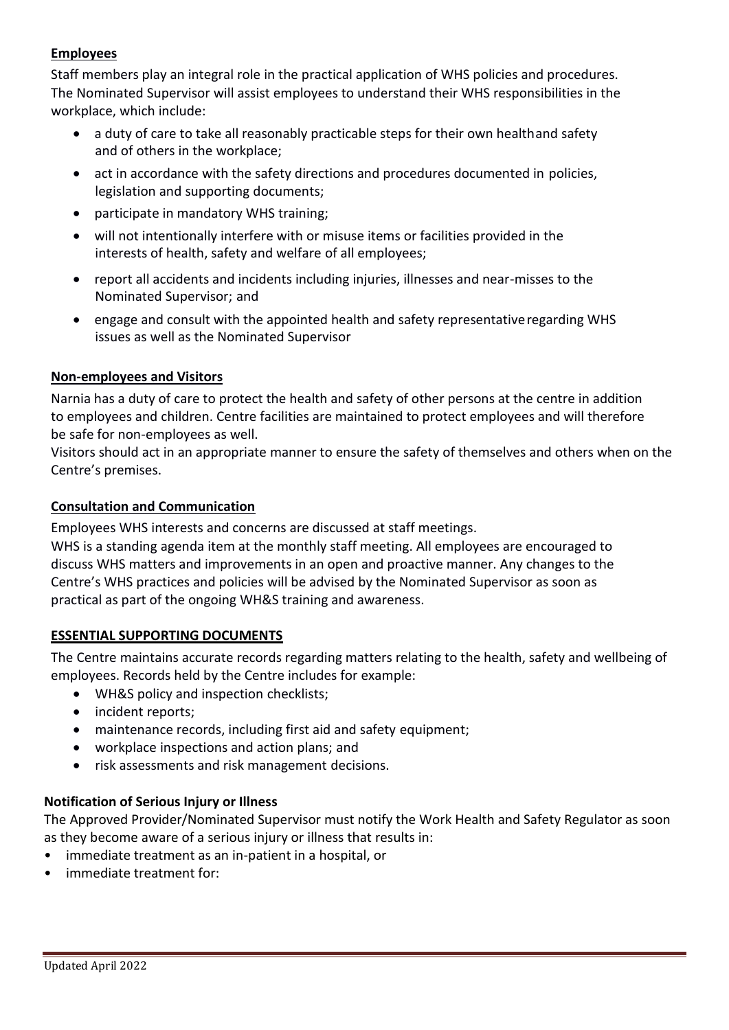## **Employees**

Staff members play an integral role in the practical application of WHS policies and procedures. The Nominated Supervisor will assist employees to understand their WHS responsibilities in the workplace, which include:

- a duty of care to take all reasonably practicable steps for their own healthand safety and of others in the workplace;
- act in accordance with the safety directions and procedures documented in policies, legislation and supporting documents;
- participate in mandatory WHS training;
- will not intentionally interfere with or misuse items or facilities provided in the interests of health, safety and welfare of all employees;
- report all accidents and incidents including injuries, illnesses and near-misses to the Nominated Supervisor; and
- engage and consult with the appointed health and safety representativeregarding WHS issues as well as the Nominated Supervisor

#### **Non-employees and Visitors**

Narnia has a duty of care to protect the health and safety of other persons at the centre in addition to employees and children. Centre facilities are maintained to protect employees and will therefore be safe for non-employees as well.

Visitors should act in an appropriate manner to ensure the safety of themselves and others when on the Centre's premises.

#### **Consultation and Communication**

Employees WHS interests and concerns are discussed at staff meetings.

WHS is a standing agenda item at the monthly staff meeting. All employees are encouraged to discuss WHS matters and improvements in an open and proactive manner. Any changes to the Centre's WHS practices and policies will be advised by the Nominated Supervisor as soon as practical as part of the ongoing WH&S training and awareness.

#### **ESSENTIAL SUPPORTING DOCUMENTS**

The Centre maintains accurate records regarding matters relating to the health, safety and wellbeing of employees. Records held by the Centre includes for example:

- WH&S policy and inspection checklists;
- incident reports;
- maintenance records, including first aid and safety equipment;
- workplace inspections and action plans; and
- risk assessments and risk management decisions.

#### **Notification of Serious Injury or Illness**

The Approved Provider/Nominated Supervisor must notify the Work Health and Safety Regulator as soon as they become aware of a serious injury or illness that results in:

- immediate treatment as an in-patient in a hospital, or
- immediate treatment for: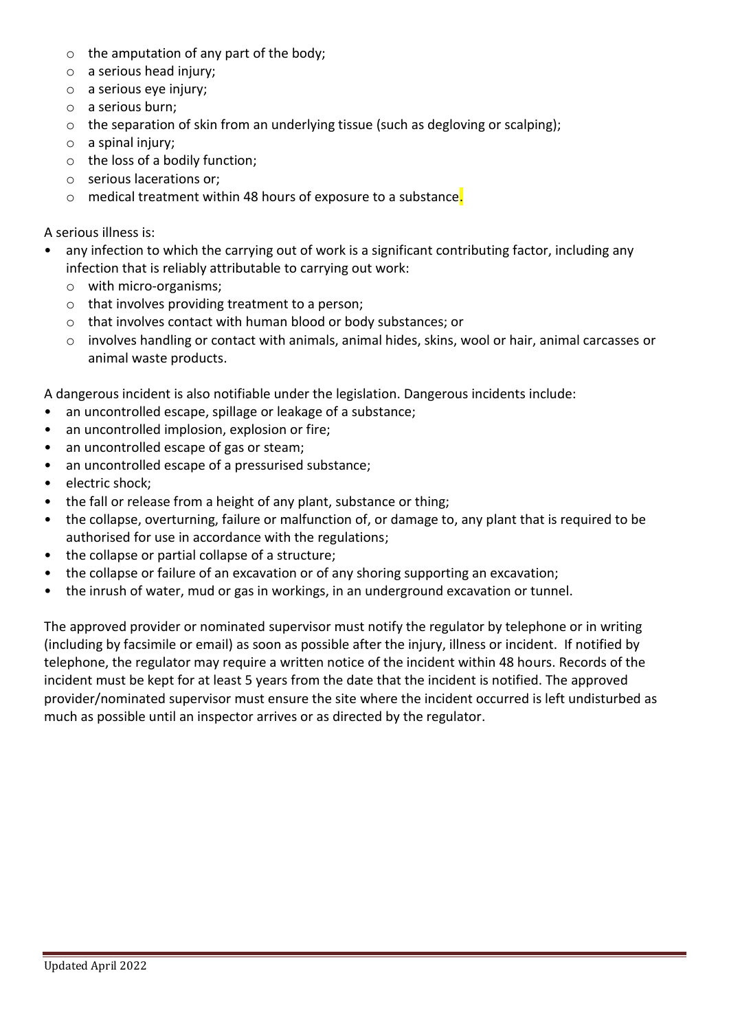- o the amputation of any part of the body;
- o a serious head injury;
- $\circ$  a serious eve injury;
- o a serious burn;
- o the separation of skin from an underlying tissue (such as degloving or scalping);
- o a spinal injury;
- o the loss of a bodily function;
- o serious lacerations or;
- o medical treatment within 48 hours of exposure to a substance.

#### A serious illness is:

- any infection to which the carrying out of work is a significant contributing factor, including any infection that is reliably attributable to carrying out work:
	- o with micro-organisms;
	- o that involves providing treatment to a person;
	- o that involves contact with human blood or body substances; or
	- o involves handling or contact with animals, animal hides, skins, wool or hair, animal carcasses or animal waste products.

A dangerous incident is also notifiable under the legislation. Dangerous incidents include:

- an uncontrolled escape, spillage or leakage of a substance;
- an uncontrolled implosion, explosion or fire;
- an uncontrolled escape of gas or steam;
- an uncontrolled escape of a pressurised substance;
- electric shock:
- the fall or release from a height of any plant, substance or thing;
- the collapse, overturning, failure or malfunction of, or damage to, any plant that is required to be authorised for use in accordance with the regulations;
- the collapse or partial collapse of a structure;
- the collapse or failure of an excavation or of any shoring supporting an excavation;
- the inrush of water, mud or gas in workings, in an underground excavation or tunnel.

The approved provider or nominated supervisor must notify the regulator by telephone or in writing (including by facsimile or email) as soon as possible after the injury, illness or incident. If notified by telephone, the regulator may require a written notice of the incident within 48 hours. Records of the incident must be kept for at least 5 years from the date that the incident is notified. The approved provider/nominated supervisor must ensure the site where the incident occurred is left undisturbed as much as possible until an inspector arrives or as directed by the regulator.